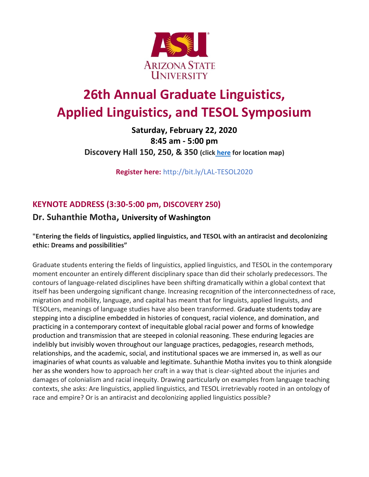

# **26th Annual Graduate Linguistics, Applied Linguistics, and TESOL Symposium**

#### **Saturday, February 22, 2020 8:45 am - 5:00 pm Discovery Hall 150, 250, & 350 (click [here](http://bit.ly/384NmYo) for location map)**

**Register here:** http://bit.ly/LAL-TESOL2020

### **KEYNOTE ADDRESS (3:30-5:00 pm, DISCOVERY 250)**

#### **Dr. Suhanthie Motha, University of Washington**

#### **"Entering the fields of linguistics, applied linguistics, and TESOL with an antiracist and decolonizing ethic: Dreams and possibilities"**

Graduate students entering the fields of linguistics, applied linguistics, and TESOL in the contemporary moment encounter an entirely different disciplinary space than did their scholarly predecessors. The contours of language-related disciplines have been shifting dramatically within a global context that itself has been undergoing significant change. Increasing recognition of the interconnectedness of race, migration and mobility, language, and capital has meant that for linguists, applied linguists, and TESOLers, meanings of language studies have also been transformed. Graduate students today are stepping into a discipline embedded in histories of conquest, racial violence, and domination, and practicing in a contemporary context of inequitable global racial power and forms of knowledge production and transmission that are steeped in colonial reasoning. These enduring legacies are indelibly but invisibly woven throughout our language practices, pedagogies, research methods, relationships, and the academic, social, and institutional spaces we are immersed in, as well as our imaginaries of what counts as valuable and legitimate. Suhanthie Motha invites you to think alongside her as she wonders how to approach her craft in a way that is clear-sighted about the injuries and damages of colonialism and racial inequity. Drawing particularly on examples from language teaching contexts, she asks: Are linguistics, applied linguistics, and TESOL irretrievably rooted in an ontology of race and empire? Or is an antiracist and decolonizing applied linguistics possible?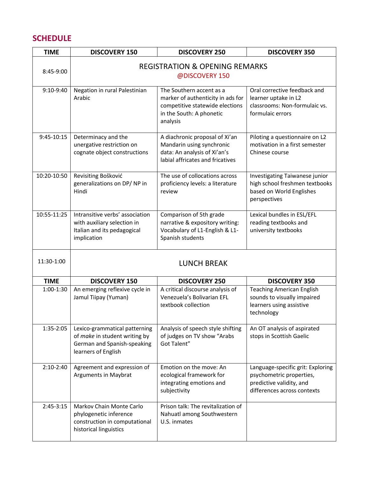#### **SCHEDULE**

| <b>TIME</b>  | <b>DISCOVERY 150</b>                                                                                                 | <b>DISCOVERY 250</b>                                                                                                                     | <b>DISCOVERY 350</b>                                                                                                     |
|--------------|----------------------------------------------------------------------------------------------------------------------|------------------------------------------------------------------------------------------------------------------------------------------|--------------------------------------------------------------------------------------------------------------------------|
| 8:45-9:00    | <b>REGISTRATION &amp; OPENING REMARKS</b><br>@DISCOVERY 150                                                          |                                                                                                                                          |                                                                                                                          |
| 9:10-9:40    | Negation in rural Palestinian<br>Arabic                                                                              | The Southern accent as a<br>marker of authenticity in ads for<br>competitive statewide elections<br>in the South: A phonetic<br>analysis | Oral corrective feedback and<br>learner uptake in L2<br>classrooms: Non-formulaic vs.<br>formulaic errors                |
| $9:45-10:15$ | Determinacy and the<br>unergative restriction on<br>cognate object constructions                                     | A diachronic proposal of Xi'an<br>Mandarin using synchronic<br>data: An analysis of Xi'an's<br>labial affricates and fricatives          | Piloting a questionnaire on L2<br>motivation in a first semester<br>Chinese course                                       |
| 10:20-10:50  | Revisiting Bošković<br>generalizations on DP/NP in<br>Hindi                                                          | The use of collocations across<br>proficiency levels: a literature<br>review                                                             | Investigating Taiwanese junior<br>high school freshmen textbooks<br>based on World Englishes<br>perspectives             |
| 10:55-11:25  | Intransitive verbs' association<br>with auxiliary selection in<br>Italian and its pedagogical<br>implication         | Comparison of 5th grade<br>narrative & expository writing:<br>Vocabulary of L1-English & L1-<br>Spanish students                         | Lexical bundles in ESL/EFL<br>reading textbooks and<br>university textbooks                                              |
| 11:30-1:00   | <b>LUNCH BREAK</b>                                                                                                   |                                                                                                                                          |                                                                                                                          |
| <b>TIME</b>  | <b>DISCOVERY 150</b>                                                                                                 | <b>DISCOVERY 250</b>                                                                                                                     | <b>DISCOVERY 350</b>                                                                                                     |
| 1:00-1:30    | An emerging reflexive cycle in<br>Jamul Tiipay (Yuman)                                                               | A critical discourse analysis of<br>Venezuela's Bolivarian EFL<br>textbook collection                                                    | <b>Teaching American English</b><br>sounds to visually impaired<br>learners using assistive<br>technology                |
| 1:35-2:05    | Lexico-grammatical patterning<br>of make in student writing by<br>German and Spanish-speaking<br>learners of English | Analysis of speech style shifting<br>of judges on TV show "Arabs<br>Got Talent"                                                          | An OT analysis of aspirated<br>stops in Scottish Gaelic                                                                  |
| $2:10-2:40$  | Agreement and expression of<br><b>Arguments in Maybrat</b>                                                           | Emotion on the move: An<br>ecological framework for<br>integrating emotions and<br>subjectivity                                          | Language-specific grit: Exploring<br>psychometric properties,<br>predictive validity, and<br>differences across contexts |
| $2:45-3:15$  | Markov Chain Monte Carlo<br>phylogenetic inference<br>construction in computational<br>historical linguistics        | Prison talk: The revitalization of<br>Nahuatl among Southwestern<br>U.S. inmates                                                         |                                                                                                                          |